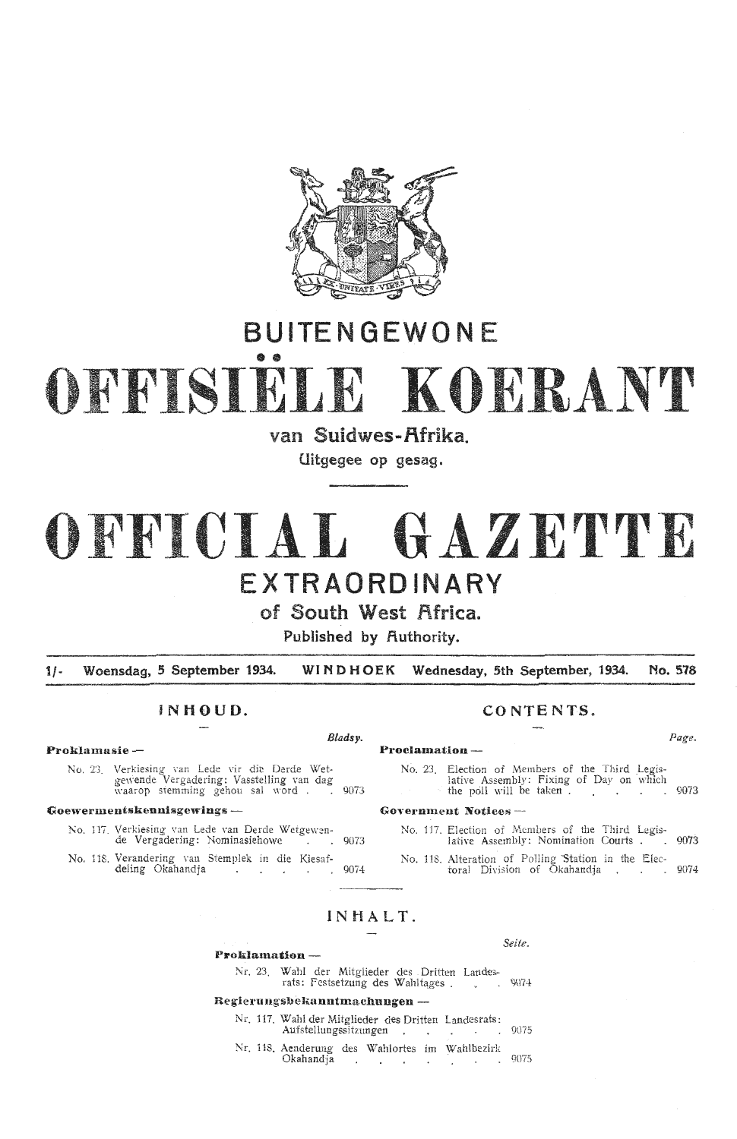

## **BUITEN GEWONE**

# •• **OFFISIELE KOERANT**

**van Suidwes-f\frika.** 

**Uitgegee op gesag.** 

## OFFICIAL GAZETTE **EXTRAORDINARY**

**of South West Africa.** 

**Published by Authority.** 

**1/- Woensdag, 5 September 1934. WIND HOEK Wednesday, 5th September, 1934. No. 578** 

## $IN HOUD$

**Proklamasie - Proclamation** -

No. 23. Verkiesing van Lede vir die Derde Wetgewende Vergadering: Vasstelling van dag waarop stemming gehou sal word . . 9073

## **Goewermentskennisgewings** - **Go1,ern1nent Notices** -

- No. 117. Verkiesing van Lede van Derde Wetgewende Vergadering: Nominasiehowe . 9073
- No. 118. Verandering van Stemplek in die Kiesaf- deling Okahandja

| CONTENTS. |  |  |  |
|-----------|--|--|--|
|-----------|--|--|--|

## *Bladsy.* Page.

No. 23. Election of Members of the Third Legislative Assembly: Fixing of Day on which the poll will be taken.

- No. 117. Election of Members of the Third Legislative Assembly: Nomination Courts . 9073
- No. 118. Alteration of Polling Station in the Elec-<br>toral Division of Okahandja . . . . 9074

## **IN HALT.**

## **Proklamation** -

Nr. 23. Wahl der Mitglieder des . Dritten Landesrats: Festsetzung des Wahltages . . . 9074

## **Regierungs'bel.::,nntmachungen** -

- Nr. 117. Wahl der Mitglieder des Dritten Landesrats: Aufstellungssitzungen 1. Jahren 2007
	-
- Nr. 118. Aenderung des Wah1ortes im Wahlbezirk Okahandja 1990.

*Seite.*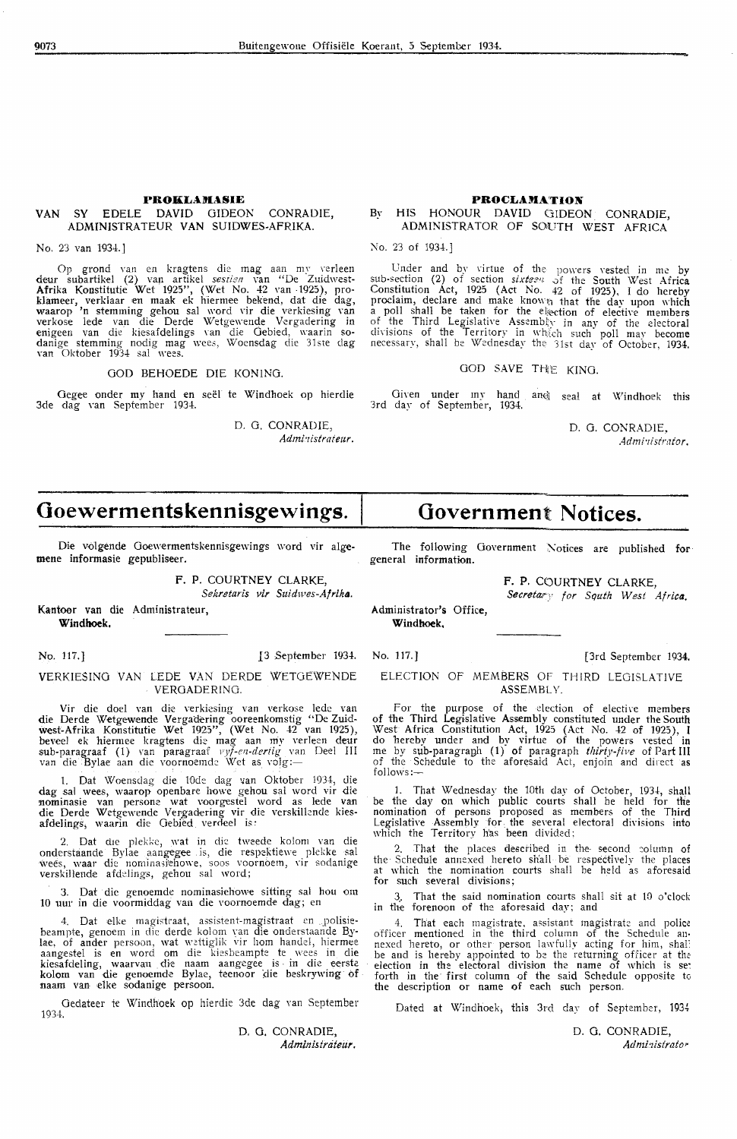## **PROKLAJIASIE**

## VAN SY EDELE DAVID GIDEON CONRADIE, ADMfNISTRATEUR VAN SUIDWES-AFRIKA.

No. 23 van 1934.]

Op grond van en kragtens die mag aan my verleen deur subartikel (2) van artikel *sesrien* van "De Zuidwest-Afrika Konstitutie Wet 1925", (Wet No. 42 van 1925), proklameer, verklaar en maak ek hiermee bekend, dat die dag, waarop 'n stemming gehou sal word \'ir die verkiesing Yan verkose lede van die Derde Wetgewende Vergadering in enigeen van die kiesafdelings van die Gebied, waarin sodanige stemming nodig mag wees, Woensdag die 31ste dag van Oktober 1934 sal wees.

## GOD BEHOEDE DIE KONING.

Gegee onder my hand en seël te Windhoek op hierdie<br>3de dag van September 1934.

D. G. CONRADIE, *Administrateur.* 

## **Ooewermentskennisgewings.**

Die volgende Goewermentskennisgewings word vir alge**mene** informasie gepubliseer.

## **F.** P. COURTNEY CLARKE, *Sekretaris vir Suidives-Afrika.*

Kantoor van die Administrateur,

**Windhoek.** 

#### VERKIESINO VAN LEDE VAN DERDE WETGEWENDE VEROADERING.

Vir die doel van die verkiesing van verkose lede van **die** Derde Wetgewende Vergadering "'ooreenkomstig "De Zuid west-Afrika Konstitutie Wet 1925", (Wet No. 42 van 1925),<br>beveel ek hiermee kragtens die mag aan my verleen deur sub-paragraaf (1) van paragraaf *vyf-en-dertig* van Deel III<br>van die Bylae aan die voornoemde Wet as volg:—

1. Dat Woensdag die 10de dag van Oktober 1934, die dag sal wees, waarop openbare howe gehou sal word vir die nominasie van persone wat voorgestel word as lede van die Derde Wetgewende Vergadering vir die verskillende kiesafdelings, waarin die Gebied verdeel is:

2. Dat die plekke, wat in die tweede kolom van die ondersfaande Bylae aangegee is, die respektiewe plekke sal wees, waar die nominasjehowe, soos voornoem, vir sodanige verskillende afdelings, gehou sal word;

3. Oat die genoemde nominasiehowe sitting sal hou om 10 uur in die voormiddag van die voornoemde dag; en

4. Dat elke magistraat, assistent-magistraat en polisiebeampte, genoem in die derde kolom van die onderstaande Bylae, of ander persoon, wat wettiglik vir hom handel, hiermee aangestel is en word om die kiesbeampte te wees in die kiesafdeling, waarvan die naam aangegee is in die eerste<br>kolom van die genoemde Bylae, teenoor die beskrywing of naam van elke sodanige persoon.

Gedateer te Windhoek op hierdie 3de dag van September 1934.

> D. **G.** CONRADIE, Administrateur.

## PROCLAMATION By HIS HONOUR DAVID GIDEON CONRADIE,

## ADMINISTRATOR OF SOUTH WEST AFRICA

No. 23 of 1934.]

Under and by virtue of the powers vested in me by sub-section (2) of section *sixteen* of the South West Africa Constitution Act, 1925 (Act No. 42 of 1925), I do hereby proclaim, declare and make known that the day upon which a poll shall be taken for the election of elective members of the Third Legislative Assembly in any of the electoral divisions of the Territory in which such poll may become necessarv, shall be Wednesday the '31st day of October, 1934.

## GOD SAVE THE KING.

Given under my hand and seal at Windhoek this 3rd day of September, 1934.

D. G. CONRADIE, Administrator,

## **Government Notices.**

The following Government Notices are published for general information.

> **F. P.** COURTNEY CLARKE, *Secretary* for *Squth West Africa*.

Administrator's Office, **Windhoek,** 

No. 117.] 13 September 1934. No. 117.] [3rd September 1934.

ELECTION OF MEMBERS OF THIRD LEGISLATIVE ASSEMBLY.

For the purpose of the election of elective members of the Third Legislative Assembly constituted under the South West Africa Constitution Act,  $1925$  (Act No. 42 of 1925), I do hereby under and by virtue of the powers vested in me by sub-paragraph (1) of paragraph thirty-five of Part III of the Schedule to the aforesaid Act, enjoin and direct as follows:-

That Wednesday the 10th day of October, 1934, shall be the day on which public courts shall be held for the nomination of persons proposed as members of the Third Legislative Assembly for the several electoral divisions into which the Territory has been divided;

2. That the places described in the second column of the Schedule annexed hereto shall be respectively the places at which the nomination courts shall he held as aforesaid for such several divisions;

That the said nomination courts shall sit at 10 o'clock in the forenoon of the aforesaid day; and

4. That each magistrate, assistant magistrate and police officer mentioned in the third column of the Schedule anofficer mentioned in the third column of the Schedule an• nexed hereto, or other person lawfully acting for him, shal: be and is hereby appointed to be the returning officer at the election in the electoral division the name of which is se: forth in the first column of the said Schedule opposite to the description or name of each such person.

Dated at Windhoek, this 3rd day of September, 1934

D. G. CONRADIE,  $Admitistrator$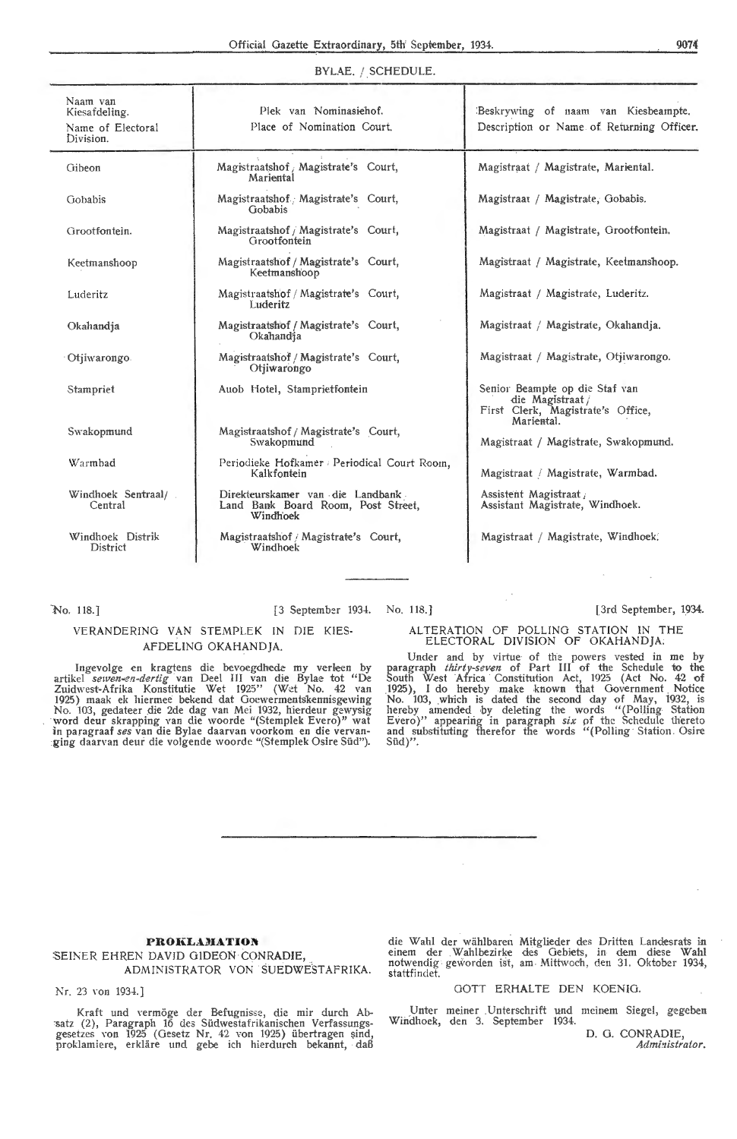## BYLAE. / SCHEDULE.

| Naam van<br>Kiesafdeling.<br>Name of Electoral<br>Division. | Plek van Nominasiehof.<br>Place of Nomination Court.                               | Beskrywing of naam van Kiesbeampte,<br>Description or Name of Returning Officer.                      |
|-------------------------------------------------------------|------------------------------------------------------------------------------------|-------------------------------------------------------------------------------------------------------|
| Gibeon                                                      | Magistraatshof / Magistrate's Court,<br>Mariental                                  | Magistraat / Magistrate, Mariental.                                                                   |
| Gobabis                                                     | Magistraatshof. Magistrate's Court,<br>Gobabis                                     | Magistraat / Magistrate, Gobabis.                                                                     |
| Grootfontein.                                               | Magistraatshof / Magistrate's Court,<br>Grootfontein                               | Magistraat / Magistrate, Grootfontein,                                                                |
| Keetmanshoop                                                | Magistraatshof / Magistrate's Court,<br>Keetmanshoop                               | Magistraat / Magistrate, Keetmanshoop.                                                                |
| Luderitz                                                    | Magistraatshof / Magistrate's Court,<br>Luderitz                                   | Magistraat / Magistrate, Luderitz.                                                                    |
| Okahandia                                                   | Magistraatshof / Magistrate's Court,<br>Okahandja                                  | Magistraat / Magistrate, Okahandja.                                                                   |
| Otjiwarongo.                                                | Magistraatshof / Magistrate's Court,<br>Otiiwarongo                                | Magistraat / Magistrate, Otjiwarongo.                                                                 |
| Stampriet                                                   | Auob Hotel, Stamprietfontein                                                       | Senior Beampte op die Staf van<br>die Magistraat /<br>First Clerk, Magistrate's Office,<br>Mariental. |
| Swakopmund                                                  | Magistraatshof / Magistrate's Court,<br>Swakopmund                                 | Magistraat / Magistrate, Swakopmund.                                                                  |
| Warmbad                                                     | Periodieke Hofkamer / Periodical Court Room,<br>Kalkfontein                        | Magistraat / Magistrate, Warmbad.                                                                     |
| Windhoek Sentraal/<br>Central                               | Direkteurskamer van die Landbank<br>Land Bank Board Room, Post Street,<br>Windhoek | Assistent Magistraat<br>Assistant Magistrate, Windhoek.                                               |
| Windhoek Distrik<br>District                                | Magistraatshof / Magistrate's Court,<br>Windhoek                                   | Magistraat / Magistrate, Windhoek.                                                                    |

#### "No. 118.]

## [3 September 1934. No. 118.]

## VERANDERING VAN STEMPLEK IN DIE KIES-AFDELINO OKAHANDJA.

Ingevolge en kragtens die bevoegdhede my verleen by artikel *sewen-en-dertig* van Deel III van die Bylae tot "De Zuidwest-Afrika Konstitutie Wet 1925" (Wet No. 42 van<br>1925) maak ek hiermee bekend dat Goewermentskennisgewing No. 103, gedateer die 2de dag van Mei 1932, hierdeur gewysig ·word deur skrapping van die woorde "(Stemplek Evero)" wat in paragraaf *ses* van die Bylae daarvan voorkom en die vervanging daarvan deur die volgende woorde "(Stemplek Osire Süd").

[3rd September, 1934.

#### ALTERATION OF POLLING STATION IN THE ELECTORAL DIVISION OF OKAHANDJA.

Under and by virtue· of the powers vested in me by paragraph *thirty-seven* of Part III of the Schedule to the South West Africa Constitution Act, 1925 (Act No. 42 of 1925), I do hereby make known that Government Notice<br>No. 103, which is dated the second day of May, 1932, is hereby amended by deleting the words "(Polling Station<br>Evero)" appearing in paragraph *six* of the Schedule thereto and substituting therefor the words "(Polling Station Osire  $\text{Süd}$ ".

## PROKLAMATION

## SEINER EHREN DAVID GIDEON CONRADIE, ADMINISTRATOR VON SUEDWE\$TAFRIKA.

Nr. 23 von 1934.]

Kraft und vermöge der Befugnisse, die mir durch Absatz (2), Paragraph 16 des Südwestafrikanischen Verfassungsgesetzes von 1925 (Gesetz Nr. 42 von 1925) übertragen sind, proklamiere, erkläre und gebe ich hierdurch bekannt, daß

die Wahl der wählbaren Mitglieder des Dritten Landesrats in einem der Wahlbezirke des Gebiets, in dem diese Wahl notwendig geworden ist, am Mittwoch, den 31. Oktober 1934, stattfindet.

#### GOTT ERHALTE DEN KOENIG.

Unter meiner Unterschrift und meinem Siegel, gegeben Windhoek, den 3. September 1934.

D. 0. CONRADIE, Administrator.